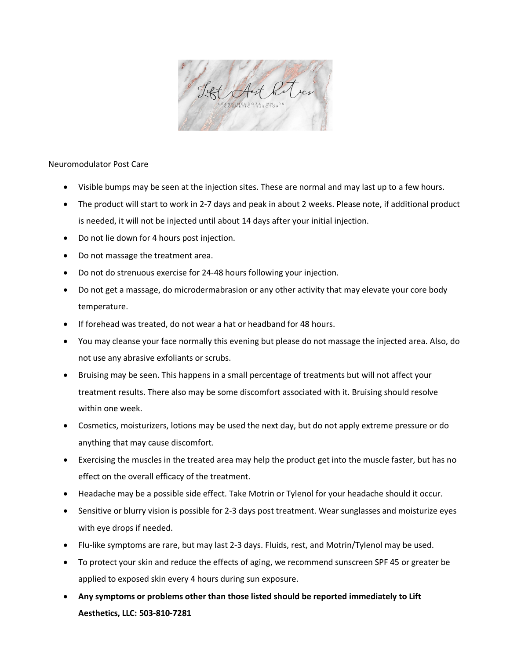

Neuromodulator Post Care

- Visible bumps may be seen at the injection sites. These are normal and may last up to a few hours.
- The product will start to work in 2-7 days and peak in about 2 weeks. Please note, if additional product is needed, it will not be injected until about 14 days after your initial injection.
- Do not lie down for 4 hours post injection.
- Do not massage the treatment area.
- Do not do strenuous exercise for 24-48 hours following your injection.
- Do not get a massage, do microdermabrasion or any other activity that may elevate your core body temperature.
- If forehead was treated, do not wear a hat or headband for 48 hours.
- You may cleanse your face normally this evening but please do not massage the injected area. Also, do not use any abrasive exfoliants or scrubs.
- Bruising may be seen. This happens in a small percentage of treatments but will not affect your treatment results. There also may be some discomfort associated with it. Bruising should resolve within one week.
- Cosmetics, moisturizers, lotions may be used the next day, but do not apply extreme pressure or do anything that may cause discomfort.
- Exercising the muscles in the treated area may help the product get into the muscle faster, but has no effect on the overall efficacy of the treatment.
- Headache may be a possible side effect. Take Motrin or Tylenol for your headache should it occur.
- Sensitive or blurry vision is possible for 2-3 days post treatment. Wear sunglasses and moisturize eyes with eye drops if needed.
- Flu-like symptoms are rare, but may last 2-3 days. Fluids, rest, and Motrin/Tylenol may be used.
- To protect your skin and reduce the effects of aging, we recommend sunscreen SPF 45 or greater be applied to exposed skin every 4 hours during sun exposure.
- **Any symptoms or problems other than those listed should be reported immediately to Lift Aesthetics, LLC: 503-810-7281**